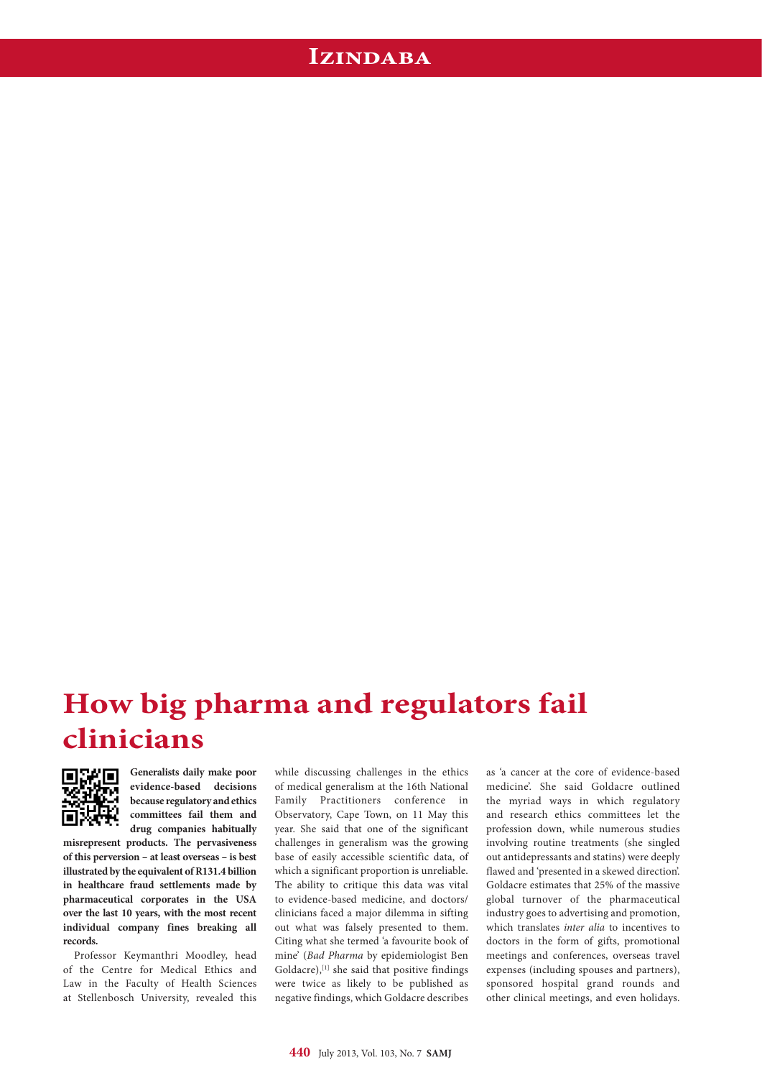## **Izindaba**

## **How big pharma and regulators fail clinicians**



**Generalists daily make poor evidence-based decisions because regulatory and ethics committees fail them and drug companies habitually** 

**misrepresent products. The pervasiveness of this perversion – at least overseas – is best illustrated by the equivalent of R131.4 billion in healthcare fraud settlements made by pharmaceutical corporates in the USA over the last 10 years, with the most recent individual company fines breaking all records.**

Professor Keymanthri Moodley, head of the Centre for Medical Ethics and Law in the Faculty of Health Sciences at Stellenbosch University, revealed this while discussing challenges in the ethics of medical generalism at the 16th National Family Practitioners conference in Observatory, Cape Town, on 11 May this year. She said that one of the significant challenges in generalism was the growing base of easily accessible scientific data, of which a significant proportion is unreliable. The ability to critique this data was vital to evidence-based medicine, and doctors/ clinicians faced a major dilemma in sifting out what was falsely presented to them. Citing what she termed 'a favourite book of mine' (*Bad Pharma* by epidemiologist Ben Goldacre), $[1]$  she said that positive findings were twice as likely to be published as negative findings, which Goldacre describes

as 'a cancer at the core of evidence-based medicine'. She said Goldacre outlined the myriad ways in which regulatory and research ethics committees let the profession down, while numerous studies involving routine treatments (she singled out antidepressants and statins) were deeply flawed and 'presented in a skewed direction'. Goldacre estimates that 25% of the massive global turnover of the pharmaceutical industry goes to advertising and promotion, which translates *inter alia* to incentives to doctors in the form of gifts, promotional meetings and conferences, overseas travel expenses (including spouses and partners), sponsored hospital grand rounds and other clinical meetings, and even holidays.